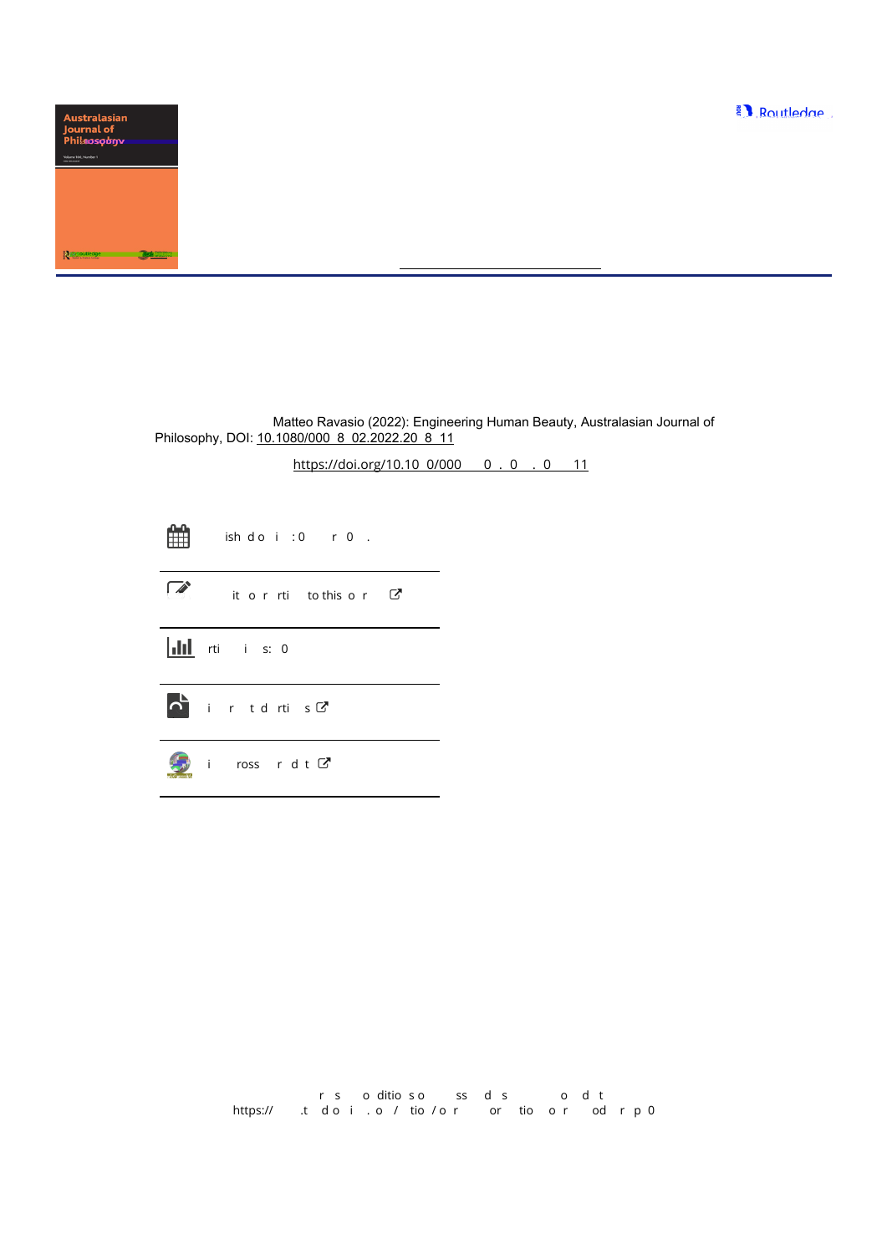

# Australasian Journal of Philosophy

ISSN: (Print) (Online) Journal homepage:<https://www.tandfonline.com/loi/rajp20>

# Engineering Human Beauty

Matteo Ravasio

To cite this article: Matteo Ravasio (2022): Engineering Human Beauty, Australasian Journal of Philosophy, DOI: 10.1080/000 8 02.2022.20 8 11

To link to this article: https://doi.org/10.10 0/000 0.0.0.0 11

|            | the ish do i:0 r0.              |
|------------|---------------------------------|
| $\sqrt{2}$ | it or rtitothis or $\mathbb{C}$ |
|            | <b>III</b> rti i s: 0           |
|            | $\sum$ ir tdrtis $C$            |
|            | i ross $r$ d t $C$              |

rs oditioso ss dis odit https://  $\,$  t doi.o/tio/  $\,$ or tio or od r p 0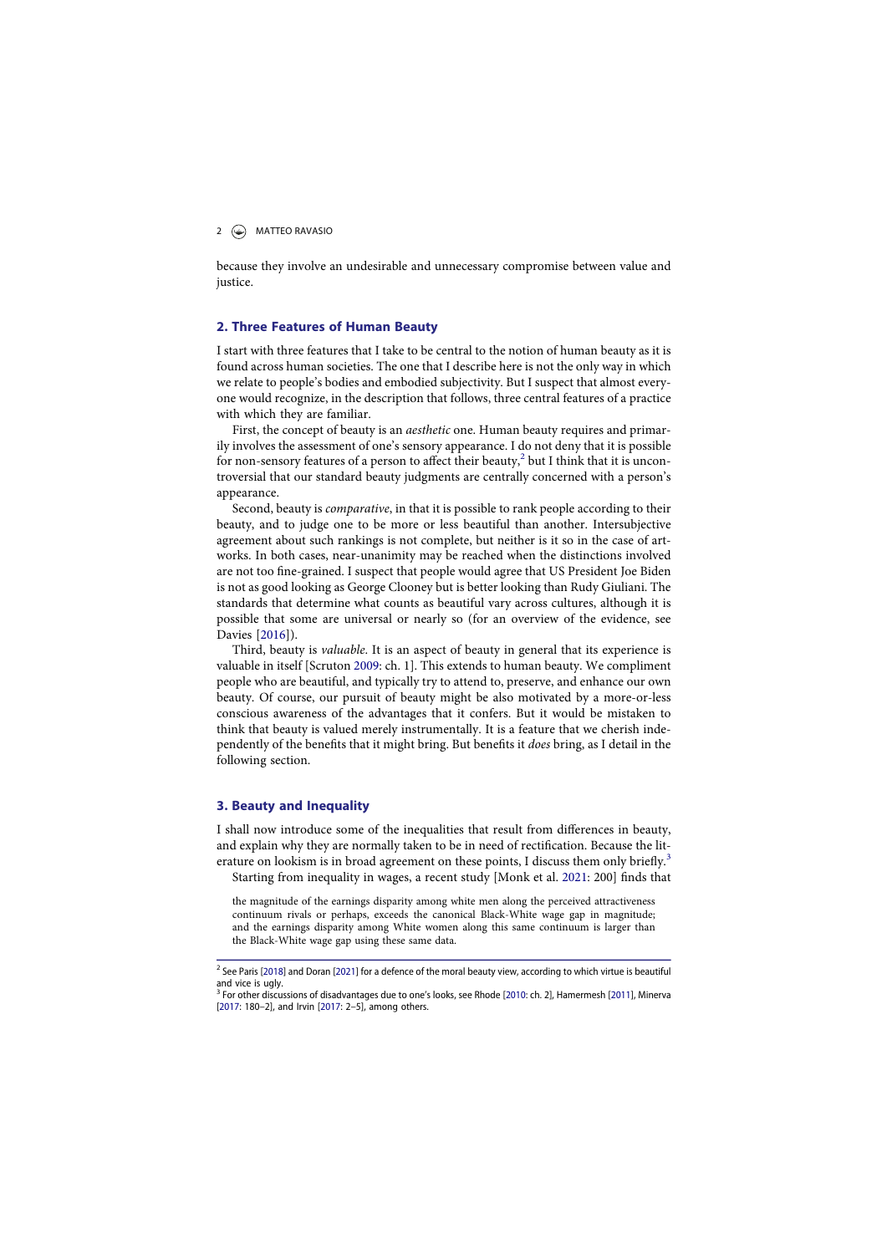# 2  $\bigcirc$  MATTEO RAVASIO

because they involve an undesirable and unnecessary compromise between value and justice.

# 2. Three Features of Human Beauty

I start with three features that I take to be central to the notion of human beauty as it is found across human societies. The one that I describe here is not the only way in which we relate to people's bodies and embodied subjectivity. But I suspect that almost everyone would recognize, in the description that follows, three central features of a practice with which they are familiar.

First, the concept of beauty is an *aesthetic* one. Human beauty requires and primarily involves the assessment of one's sensory appearance. I do not deny that it is possible for non-sensory features of a person to affect their beauty,<sup>2</sup> but I think that it is uncontroversial that our standard beauty judgments are centrally concerned with a person's appearance.

Second, beauty is comparative, in that it is possible to rank people according to their beauty, and to judge one to be more or less beautiful than another. Intersubjective agreement about such rankings is not complete, but neither is it so in the case of artworks. In both cases, near-unanimity may be reached when the distinctions involved are not too fine-grained. I suspect that people would agree that US President Joe Biden is not as good looking as George Clooney but is better looking than Rudy Giuliani. The standards that determine what counts as beautiful vary across cultures, although it is possible that some are universal or nearly so (for an overview of the evidence, see Davies [2016]).

Third, beauty is valuable. It is an aspect of beauty in general that its experience is valuable in itself [Scruton 2009: ch. 1]. This extends to human beauty. We compliment people who are beautiful, and typically try to attend to, preserve, and enhance our own beauty. Of course, our pursuit of beauty might be also motivated by a more-or-less conscious awareness of the advantages that it confers. But it would be mistaken to think that beauty is valued merely instrumentally. It is a feature that we cherish independently of the benefits that it might bring. But benefits it does bring, as I detail in the following section.

# 3. Beauty and Inequality

I shall now introduce some of the inequalities that result from differences in beauty, and explain why they are normally taken to be in need of rectification. Because the literature on lookism is in broad agreement on these points, I discuss them only briefly.<sup>3</sup> Starting from inequality in wages, a recent study [Monk et al. 2021: 200] finds that

the magnitude of the earnings disparity among white men along the perceived attractiveness continuum rivals or perhaps, exceeds the canonical Black-White wage gap in magnitude; and the earnings disparity among White women along this same continuum is larger than the Black-White wage gap using these same data.

<sup>&</sup>lt;sup>2</sup> See Paris [2018] and Doran [2021] for a defence of the moral beauty view, according to which virtue is beautiful and vice is ugly.<br><sup>3</sup> For other discussions of disadvantages due to one's looks, see Rhode [2010: ch. 2], Hamermesh [2011], Minerva

<sup>[2017: 180</sup>–2], and Irvin [2017: 2–5], among others.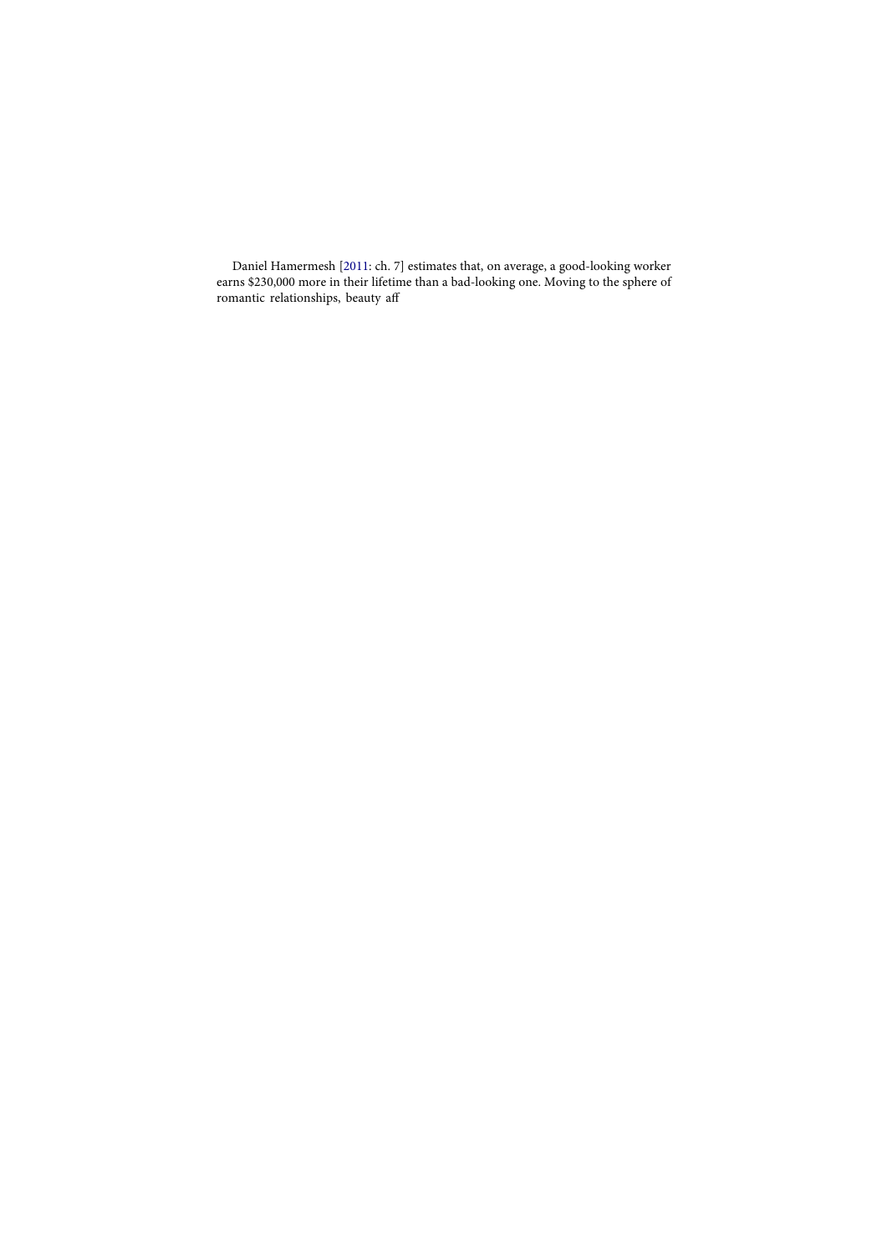Daniel Hamermesh [2011: ch. 7] estimates that, on average, a good-looking worker earns \$230,000 more in their lifetime than a bad-looking one. Moving to the sphere of romantic relationships, beauty aff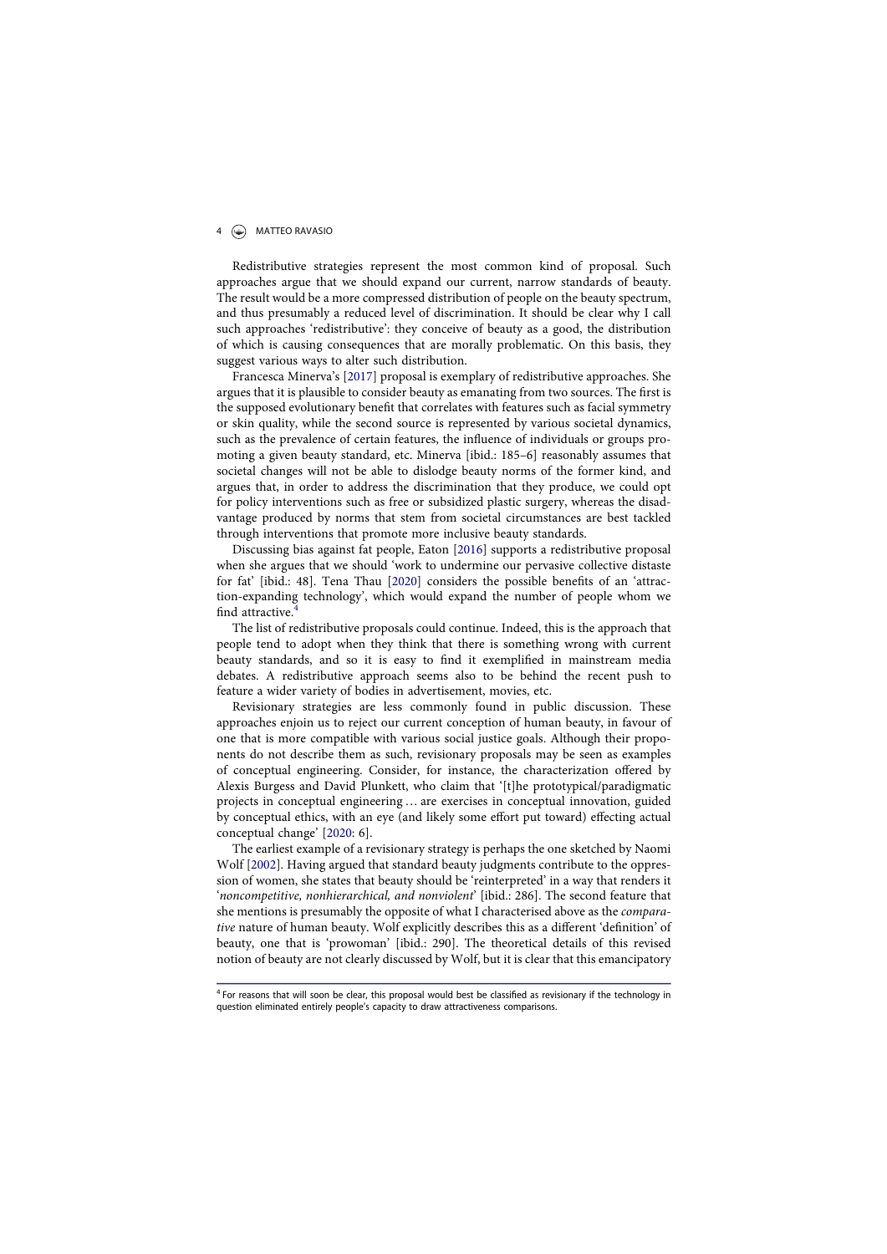# 4  $\bigcirc$  MATTEO RAVASIO

Redistributive strategies represent the most common kind of proposal. Such approaches argue that we should expand our current, narrow standards of beauty. The result would be a more compressed distribution of people on the beauty spectrum, and thus presumably a reduced level of discrimination. It should be clear why I call such approaches 'redistributive': they conceive of beauty as a good, the distribution of which is causing consequences that are morally problematic. On this basis, they suggest various ways to alter such distribution.

Francesca Minerva's [2017] proposal is exemplary of redistributive approaches. She argues that it is plausible to consider beauty as emanating from two sources. The first is the supposed evolutionary benefit that correlates with features such as facial symmetry or skin quality, while the second source is represented by various societal dynamics, such as the prevalence of certain features, the influence of individuals or groups promoting a given beauty standard, etc. Minerva [ibid.: 185–6] reasonably assumes that societal changes will not be able to dislodge beauty norms of the former kind, and argues that, in order to address the discrimination that they produce, we could opt for policy interventions such as free or subsidized plastic surgery, whereas the disadvantage produced by norms that stem from societal circumstances are best tackled through interventions that promote more inclusive beauty standards.

Discussing bias against fat people, Eaton [2016] supports a redistributive proposal when she argues that we should 'work to undermine our pervasive collective distaste for fat' [ibid.: 48]. Tena Thau [2020] considers the possible benefits of an 'attraction-expanding technology', which would expand the number of people whom we find attractive.

The list of redistributive proposals could continue. Indeed, this is the approach that people tend to adopt when they think that there is something wrong with current beauty standards, and so it is easy to find it exemplified in mainstream media debates. A redistributive approach seems also to be behind the recent push to feature a wider variety of bodies in advertisement, movies, etc.

Revisionary strategies are less commonly found in public discussion. These approaches enjoin us to reject our current conception of human beauty, in favour of one that is more compatible with various social justice goals. Although their proponents do not describe them as such, revisionary proposals may be seen as examples of conceptual engineering. Consider, for instance, the characterization offered by Alexis Burgess and David Plunkett, who claim that '[t]he prototypical/paradigmatic projects in conceptual engineering … are exercises in conceptual innovation, guided by conceptual ethics, with an eye (and likely some effort put toward) effecting actual conceptual change' [2020: 6].

The earliest example of a revisionary strategy is perhaps the one sketched by Naomi Wolf [2002]. Having argued that standard beauty judgments contribute to the oppression of women, she states that beauty should be 'reinterpreted' in a way that renders it 'noncompetitive, nonhierarchical, and nonviolent' [ibid.: 286]. The second feature that she mentions is presumably the opposite of what I characterised above as the comparative nature of human beauty. Wolf explicitly describes this as a different 'definition' of beauty, one that is 'prowoman' [ibid.: 290]. The theoretical details of this revised notion of beauty are not clearly discussed by Wolf, but it is clear that this emancipatory

 $<sup>4</sup>$  For reasons that will soon be clear, this proposal would best be classified as revisionary if the technology in</sup> question eliminated entirely people's capacity to draw attractiveness comparisons.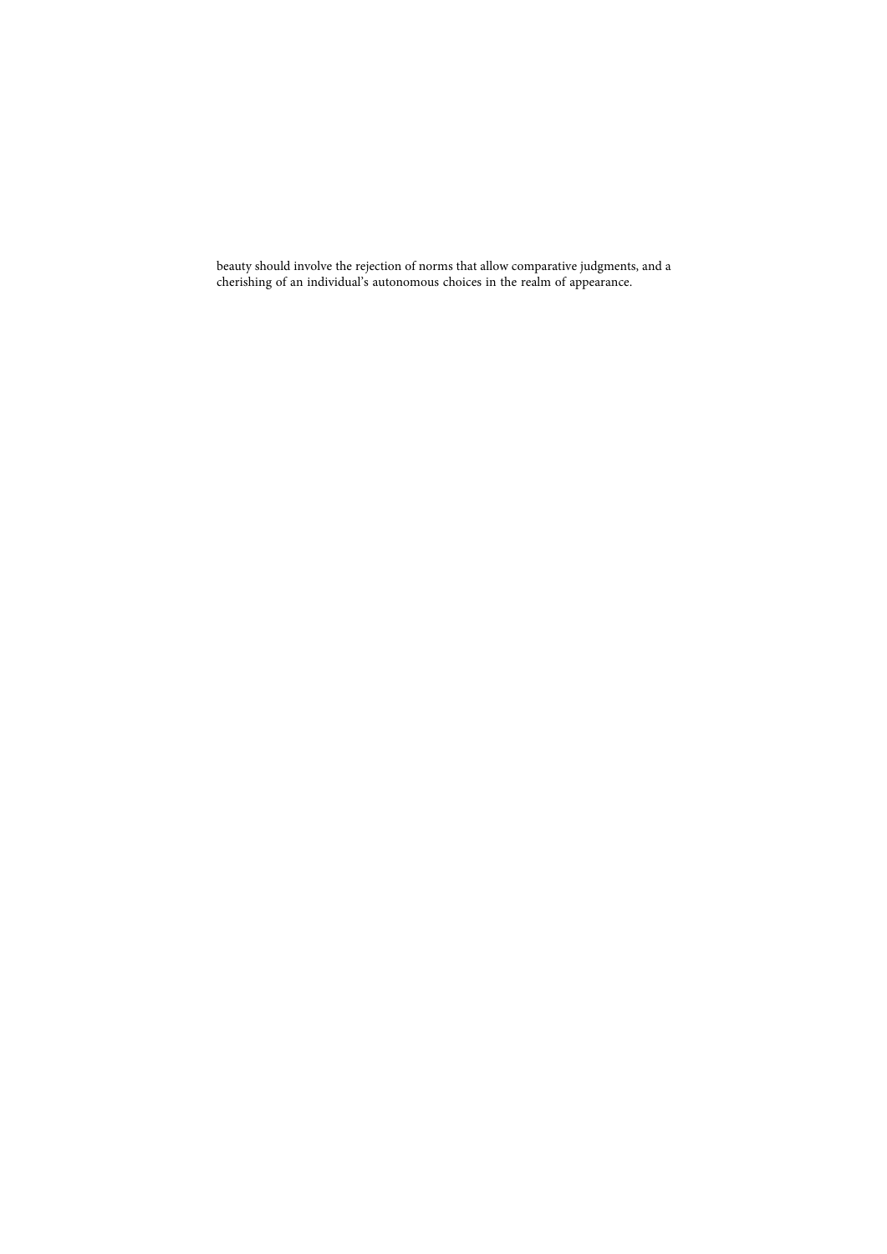beauty should involve the rejection of norms that allow comparative judgments, and a cherishing of an individual's autonomous choices in the realm of appearance.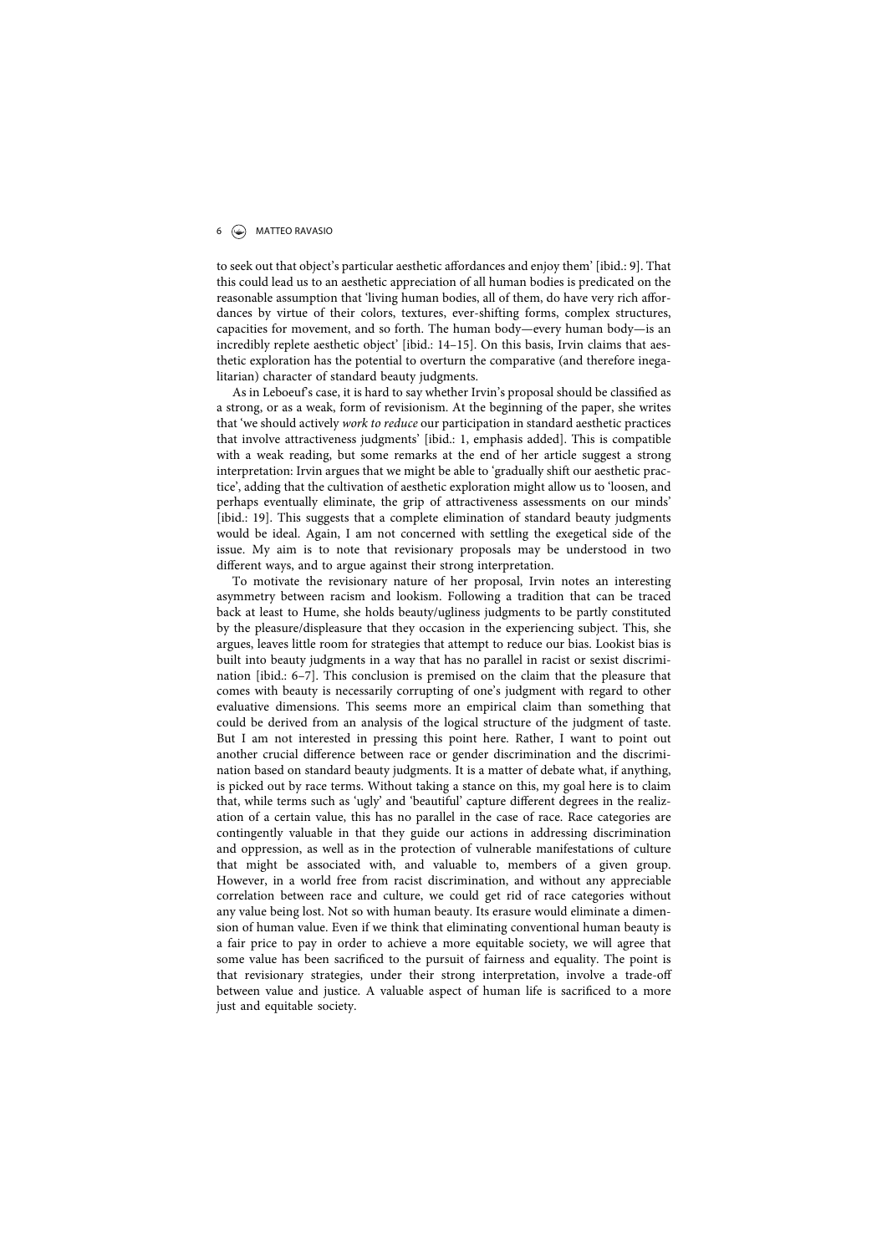# 6 MATTEO RAVASIO

to seek out that object's particular aesthetic affordances and enjoy them' [ibid.: 9]. That this could lead us to an aesthetic appreciation of all human bodies is predicated on the reasonable assumption that 'living human bodies, all of them, do have very rich affordances by virtue of their colors, textures, ever-shifting forms, complex structures, capacities for movement, and so forth. The human body—every human body—is an incredibly replete aesthetic object' [ibid.: 14–15]. On this basis, Irvin claims that aesthetic exploration has the potential to overturn the comparative (and therefore inegalitarian) character of standard beauty judgments.

As in Leboeuf's case, it is hard to say whether Irvin's proposal should be classified as a strong, or as a weak, form of revisionism. At the beginning of the paper, she writes that 'we should actively work to reduce our participation in standard aesthetic practices that involve attractiveness judgments' [ibid.: 1, emphasis added]. This is compatible with a weak reading, but some remarks at the end of her article suggest a strong interpretation: Irvin argues that we might be able to 'gradually shift our aesthetic practice', adding that the cultivation of aesthetic exploration might allow us to 'loosen, and perhaps eventually eliminate, the grip of attractiveness assessments on our minds' [ibid.: 19]. This suggests that a complete elimination of standard beauty judgments would be ideal. Again, I am not concerned with settling the exegetical side of the issue. My aim is to note that revisionary proposals may be understood in two different ways, and to argue against their strong interpretation.

To motivate the revisionary nature of her proposal, Irvin notes an interesting asymmetry between racism and lookism. Following a tradition that can be traced back at least to Hume, she holds beauty/ugliness judgments to be partly constituted by the pleasure/displeasure that they occasion in the experiencing subject. This, she argues, leaves little room for strategies that attempt to reduce our bias. Lookist bias is built into beauty judgments in a way that has no parallel in racist or sexist discrimination [ibid.: 6–7]. This conclusion is premised on the claim that the pleasure that comes with beauty is necessarily corrupting of one's judgment with regard to other evaluative dimensions. This seems more an empirical claim than something that could be derived from an analysis of the logical structure of the judgment of taste. But I am not interested in pressing this point here. Rather, I want to point out another crucial difference between race or gender discrimination and the discrimination based on standard beauty judgments. It is a matter of debate what, if anything, is picked out by race terms. Without taking a stance on this, my goal here is to claim that, while terms such as 'ugly' and 'beautiful' capture different degrees in the realization of a certain value, this has no parallel in the case of race. Race categories are contingently valuable in that they guide our actions in addressing discrimination and oppression, as well as in the protection of vulnerable manifestations of culture that might be associated with, and valuable to, members of a given group. However, in a world free from racist discrimination, and without any appreciable correlation between race and culture, we could get rid of race categories without any value being lost. Not so with human beauty. Its erasure would eliminate a dimension of human value. Even if we think that eliminating conventional human beauty is a fair price to pay in order to achieve a more equitable society, we will agree that some value has been sacrificed to the pursuit of fairness and equality. The point is that revisionary strategies, under their strong interpretation, involve a trade-off between value and justice. A valuable aspect of human life is sacrificed to a more just and equitable society.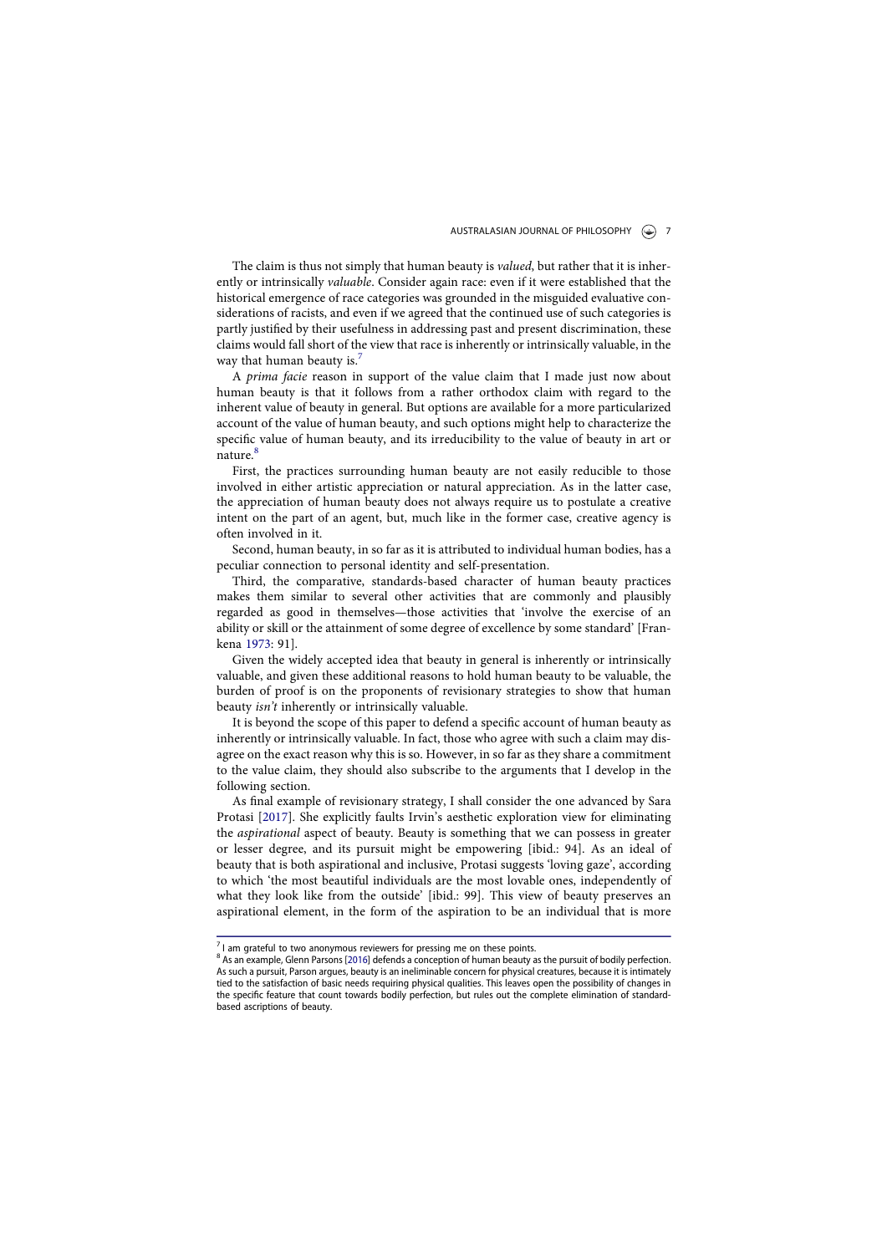The claim is thus not simply that human beauty is valued, but rather that it is inherently or intrinsically valuable. Consider again race: even if it were established that the historical emergence of race categories was grounded in the misguided evaluative considerations of racists, and even if we agreed that the continued use of such categories is partly justified by their usefulness in addressing past and present discrimination, these claims would fall short of the view that race is inherently or intrinsically valuable, in the way that human beauty is.<sup>7</sup>

A prima facie reason in support of the value claim that I made just now about human beauty is that it follows from a rather orthodox claim with regard to the inherent value of beauty in general. But options are available for a more particularized account of the value of human beauty, and such options might help to characterize the specific value of human beauty, and its irreducibility to the value of beauty in art or nature.<sup>8</sup>

First, the practices surrounding human beauty are not easily reducible to those involved in either artistic appreciation or natural appreciation. As in the latter case, the appreciation of human beauty does not always require us to postulate a creative intent on the part of an agent, but, much like in the former case, creative agency is often involved in it.

Second, human beauty, in so far as it is attributed to individual human bodies, has a peculiar connection to personal identity and self-presentation.

Third, the comparative, standards-based character of human beauty practices makes them similar to several other activities that are commonly and plausibly regarded as good in themselves—those activities that 'involve the exercise of an ability or skill or the attainment of some degree of excellence by some standard' [Frankena 1973: 91].

Given the widely accepted idea that beauty in general is inherently or intrinsically valuable, and given these additional reasons to hold human beauty to be valuable, the burden of proof is on the proponents of revisionary strategies to show that human beauty isn't inherently or intrinsically valuable.

It is beyond the scope of this paper to defend a specific account of human beauty as inherently or intrinsically valuable. In fact, those who agree with such a claim may disagree on the exact reason why this is so. However, in so far as they share a commitment to the value claim, they should also subscribe to the arguments that I develop in the following section.

As final example of revisionary strategy, I shall consider the one advanced by Sara Protasi [2017]. She explicitly faults Irvin's aesthetic exploration view for eliminating the aspirational aspect of beauty. Beauty is something that we can possess in greater or lesser degree, and its pursuit might be empowering [ibid.: 94]. As an ideal of beauty that is both aspirational and inclusive, Protasi suggests 'loving gaze', according to which 'the most beautiful individuals are the most lovable ones, independently of what they look like from the outside' [ibid.: 99]. This view of beauty preserves an aspirational element, in the form of the aspiration to be an individual that is more

 $<sup>7</sup>$  I am grateful to two anonymous reviewers for pressing me on these points.</sup>

<sup>8</sup> As an example, Glenn Parsons [2016] defends a conception of human beauty as the pursuit of bodily perfection. As such a pursuit, Parson argues, beauty is an ineliminable concern for physical creatures, because it is intimately tied to the satisfaction of basic needs requiring physical qualities. This leaves open the possibility of changes in the specific feature that count towards bodily perfection, but rules out the complete elimination of standardbased ascriptions of beauty.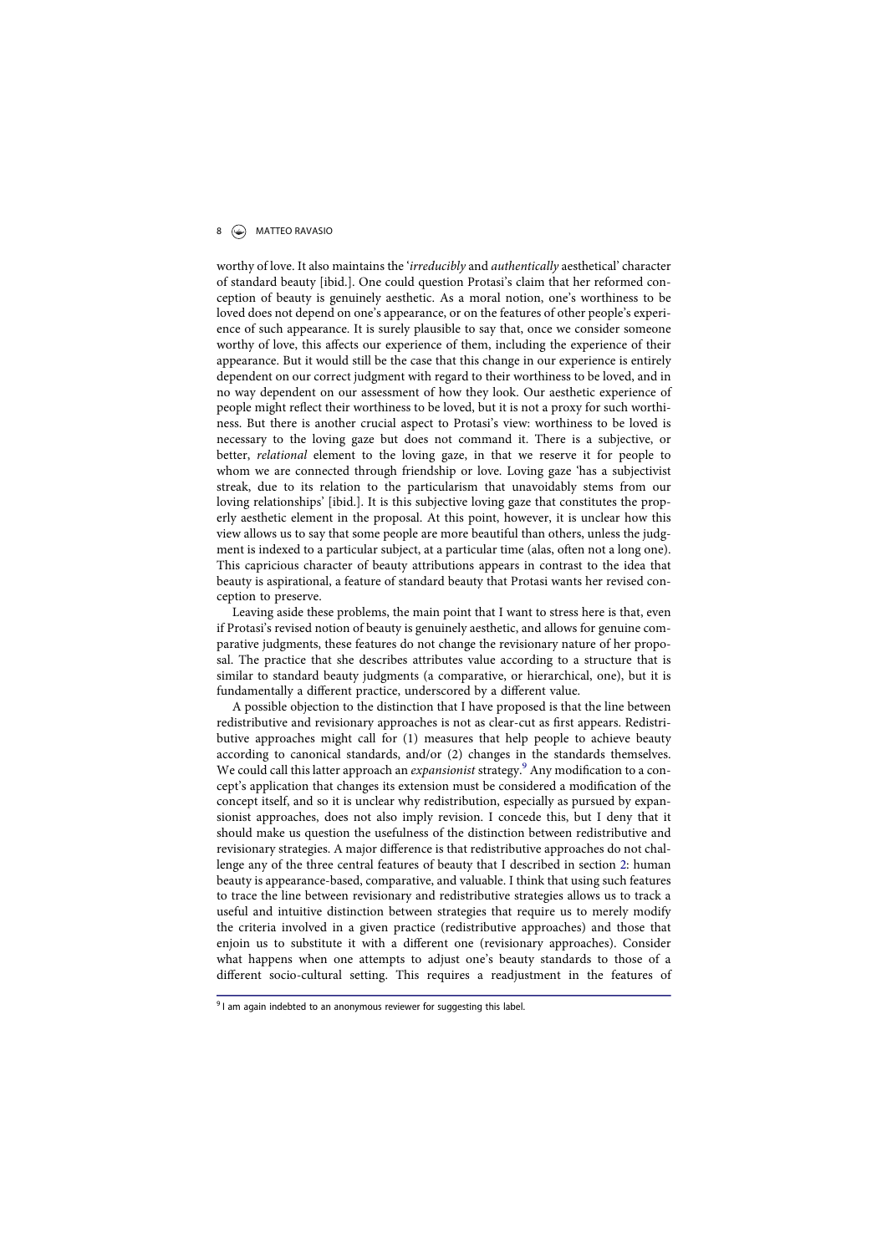# 8  $\bigcirc$  MATTEO RAVASIO

worthy of love. It also maintains the 'irreducibly and authentically aesthetical' character of standard beauty [ibid.]. One could question Protasi's claim that her reformed conception of beauty is genuinely aesthetic. As a moral notion, one's worthiness to be loved does not depend on one's appearance, or on the features of other people's experience of such appearance. It is surely plausible to say that, once we consider someone worthy of love, this affects our experience of them, including the experience of their appearance. But it would still be the case that this change in our experience is entirely dependent on our correct judgment with regard to their worthiness to be loved, and in no way dependent on our assessment of how they look. Our aesthetic experience of people might reflect their worthiness to be loved, but it is not a proxy for such worthiness. But there is another crucial aspect to Protasi's view: worthiness to be loved is necessary to the loving gaze but does not command it. There is a subjective, or better, relational element to the loving gaze, in that we reserve it for people to whom we are connected through friendship or love. Loving gaze 'has a subjectivist streak, due to its relation to the particularism that unavoidably stems from our loving relationships' [ibid.]. It is this subjective loving gaze that constitutes the properly aesthetic element in the proposal. At this point, however, it is unclear how this view allows us to say that some people are more beautiful than others, unless the judgment is indexed to a particular subject, at a particular time (alas, often not a long one). This capricious character of beauty attributions appears in contrast to the idea that beauty is aspirational, a feature of standard beauty that Protasi wants her revised conception to preserve.

Leaving aside these problems, the main point that I want to stress here is that, even if Protasi's revised notion of beauty is genuinely aesthetic, and allows for genuine comparative judgments, these features do not change the revisionary nature of her proposal. The practice that she describes attributes value according to a structure that is similar to standard beauty judgments (a comparative, or hierarchical, one), but it is fundamentally a different practice, underscored by a different value.

A possible objection to the distinction that I have proposed is that the line between redistributive and revisionary approaches is not as clear-cut as first appears. Redistributive approaches might call for (1) measures that help people to achieve beauty according to canonical standards, and/or (2) changes in the standards themselves. We could call this latter approach an *expansionist* strategy.<sup>9</sup> Any modification to a concept's application that changes its extension must be considered a modification of the concept itself, and so it is unclear why redistribution, especially as pursued by expansionist approaches, does not also imply revision. I concede this, but I deny that it should make us question the usefulness of the distinction between redistributive and revisionary strategies. A major difference is that redistributive approaches do not challenge any of the three central features of beauty that I described in section 2: human beauty is appearance-based, comparative, and valuable. I think that using such features to trace the line between revisionary and redistributive strategies allows us to track a useful and intuitive distinction between strategies that require us to merely modify the criteria involved in a given practice (redistributive approaches) and those that enjoin us to substitute it with a different one (revisionary approaches). Consider what happens when one attempts to adjust one's beauty standards to those of a different socio-cultural setting. This requires a readjustment in the features of

<sup>&</sup>lt;sup>9</sup> I am again indebted to an anonymous reviewer for suggesting this label.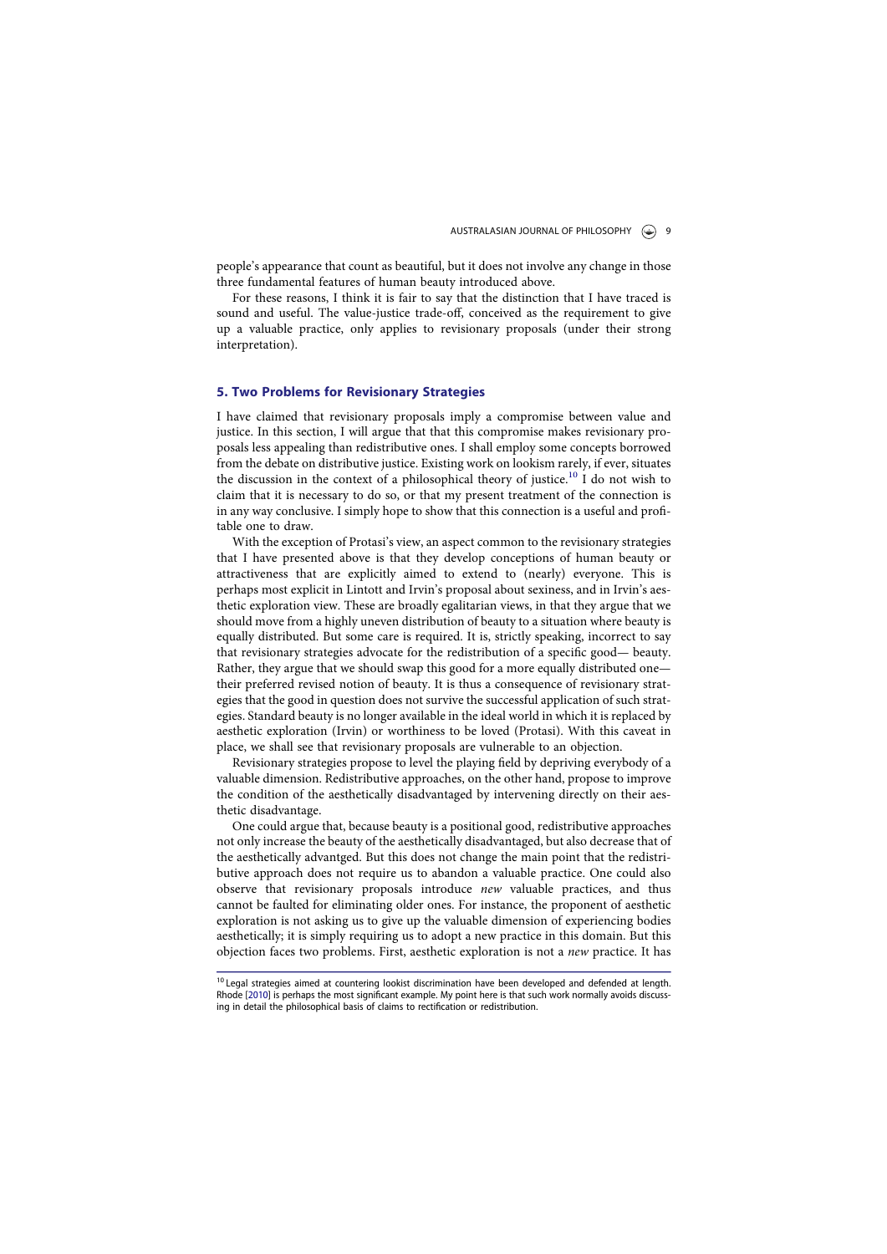people's appearance that count as beautiful, but it does not involve any change in those three fundamental features of human beauty introduced above.

For these reasons, I think it is fair to say that the distinction that I have traced is sound and useful. The value-justice trade-off, conceived as the requirement to give up a valuable practice, only applies to revisionary proposals (under their strong interpretation).

### 5. Two Problems for Revisionary Strategies

I have claimed that revisionary proposals imply a compromise between value and justice. In this section, I will argue that that this compromise makes revisionary proposals less appealing than redistributive ones. I shall employ some concepts borrowed from the debate on distributive justice. Existing work on lookism rarely, if ever, situates the discussion in the context of a philosophical theory of justice.<sup>10</sup> I do not wish to claim that it is necessary to do so, or that my present treatment of the connection is in any way conclusive. I simply hope to show that this connection is a useful and profitable one to draw.

With the exception of Protasi's view, an aspect common to the revisionary strategies that I have presented above is that they develop conceptions of human beauty or attractiveness that are explicitly aimed to extend to (nearly) everyone. This is perhaps most explicit in Lintott and Irvin's proposal about sexiness, and in Irvin's aesthetic exploration view. These are broadly egalitarian views, in that they argue that we should move from a highly uneven distribution of beauty to a situation where beauty is equally distributed. But some care is required. It is, strictly speaking, incorrect to say that revisionary strategies advocate for the redistribution of a specific good— beauty. Rather, they argue that we should swap this good for a more equally distributed one their preferred revised notion of beauty. It is thus a consequence of revisionary strategies that the good in question does not survive the successful application of such strategies. Standard beauty is no longer available in the ideal world in which it is replaced by aesthetic exploration (Irvin) or worthiness to be loved (Protasi). With this caveat in place, we shall see that revisionary proposals are vulnerable to an objection.

Revisionary strategies propose to level the playing field by depriving everybody of a valuable dimension. Redistributive approaches, on the other hand, propose to improve the condition of the aesthetically disadvantaged by intervening directly on their aesthetic disadvantage.

One could argue that, because beauty is a positional good, redistributive approaches not only increase the beauty of the aesthetically disadvantaged, but also decrease that of the aesthetically advantged. But this does not change the main point that the redistributive approach does not require us to abandon a valuable practice. One could also observe that revisionary proposals introduce new valuable practices, and thus cannot be faulted for eliminating older ones. For instance, the proponent of aesthetic exploration is not asking us to give up the valuable dimension of experiencing bodies aesthetically; it is simply requiring us to adopt a new practice in this domain. But this objection faces two problems. First, aesthetic exploration is not a new practice. It has

<sup>10</sup> Legal strategies aimed at countering lookist discrimination have been developed and defended at length. Rhode [2010] is perhaps the most significant example. My point here is that such work normally avoids discussing in detail the philosophical basis of claims to rectification or redistribution.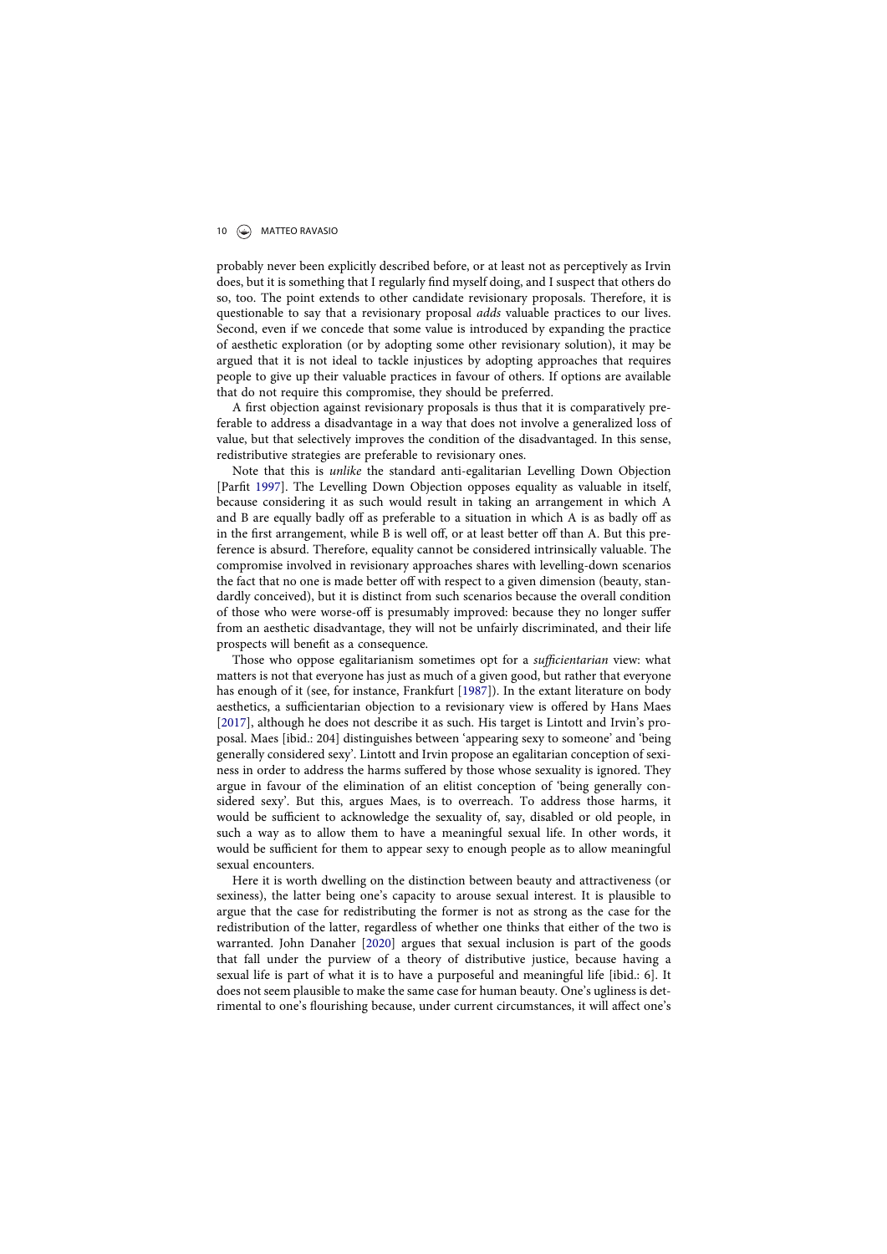# 10  $\odot$  MATTEO RAVASIO

probably never been explicitly described before, or at least not as perceptively as Irvin does, but it is something that I regularly find myself doing, and I suspect that others do so, too. The point extends to other candidate revisionary proposals. Therefore, it is questionable to say that a revisionary proposal adds valuable practices to our lives. Second, even if we concede that some value is introduced by expanding the practice of aesthetic exploration (or by adopting some other revisionary solution), it may be argued that it is not ideal to tackle injustices by adopting approaches that requires people to give up their valuable practices in favour of others. If options are available that do not require this compromise, they should be preferred.

A first objection against revisionary proposals is thus that it is comparatively preferable to address a disadvantage in a way that does not involve a generalized loss of value, but that selectively improves the condition of the disadvantaged. In this sense, redistributive strategies are preferable to revisionary ones.

Note that this is unlike the standard anti-egalitarian Levelling Down Objection [Parfit 1997]. The Levelling Down Objection opposes equality as valuable in itself, because considering it as such would result in taking an arrangement in which A and B are equally badly off as preferable to a situation in which A is as badly off as in the first arrangement, while B is well off, or at least better off than A. But this preference is absurd. Therefore, equality cannot be considered intrinsically valuable. The compromise involved in revisionary approaches shares with levelling-down scenarios the fact that no one is made better off with respect to a given dimension (beauty, standardly conceived), but it is distinct from such scenarios because the overall condition of those who were worse-off is presumably improved: because they no longer suffer from an aesthetic disadvantage, they will not be unfairly discriminated, and their life prospects will benefit as a consequence.

Those who oppose egalitarianism sometimes opt for a sufficientarian view: what matters is not that everyone has just as much of a given good, but rather that everyone has enough of it (see, for instance, Frankfurt [1987]). In the extant literature on body aesthetics, a sufficientarian objection to a revisionary view is offered by Hans Maes [2017], although he does not describe it as such. His target is Lintott and Irvin's proposal. Maes [ibid.: 204] distinguishes between 'appearing sexy to someone' and 'being generally considered sexy'. Lintott and Irvin propose an egalitarian conception of sexiness in order to address the harms suffered by those whose sexuality is ignored. They argue in favour of the elimination of an elitist conception of 'being generally considered sexy'. But this, argues Maes, is to overreach. To address those harms, it would be sufficient to acknowledge the sexuality of, say, disabled or old people, in such a way as to allow them to have a meaningful sexual life. In other words, it would be sufficient for them to appear sexy to enough people as to allow meaningful sexual encounters.

Here it is worth dwelling on the distinction between beauty and attractiveness (or sexiness), the latter being one's capacity to arouse sexual interest. It is plausible to argue that the case for redistributing the former is not as strong as the case for the redistribution of the latter, regardless of whether one thinks that either of the two is warranted. John Danaher [2020] argues that sexual inclusion is part of the goods that fall under the purview of a theory of distributive justice, because having a sexual life is part of what it is to have a purposeful and meaningful life [ibid.: 6]. It does not seem plausible to make the same case for human beauty. One's ugliness is detrimental to one's flourishing because, under current circumstances, it will affect one's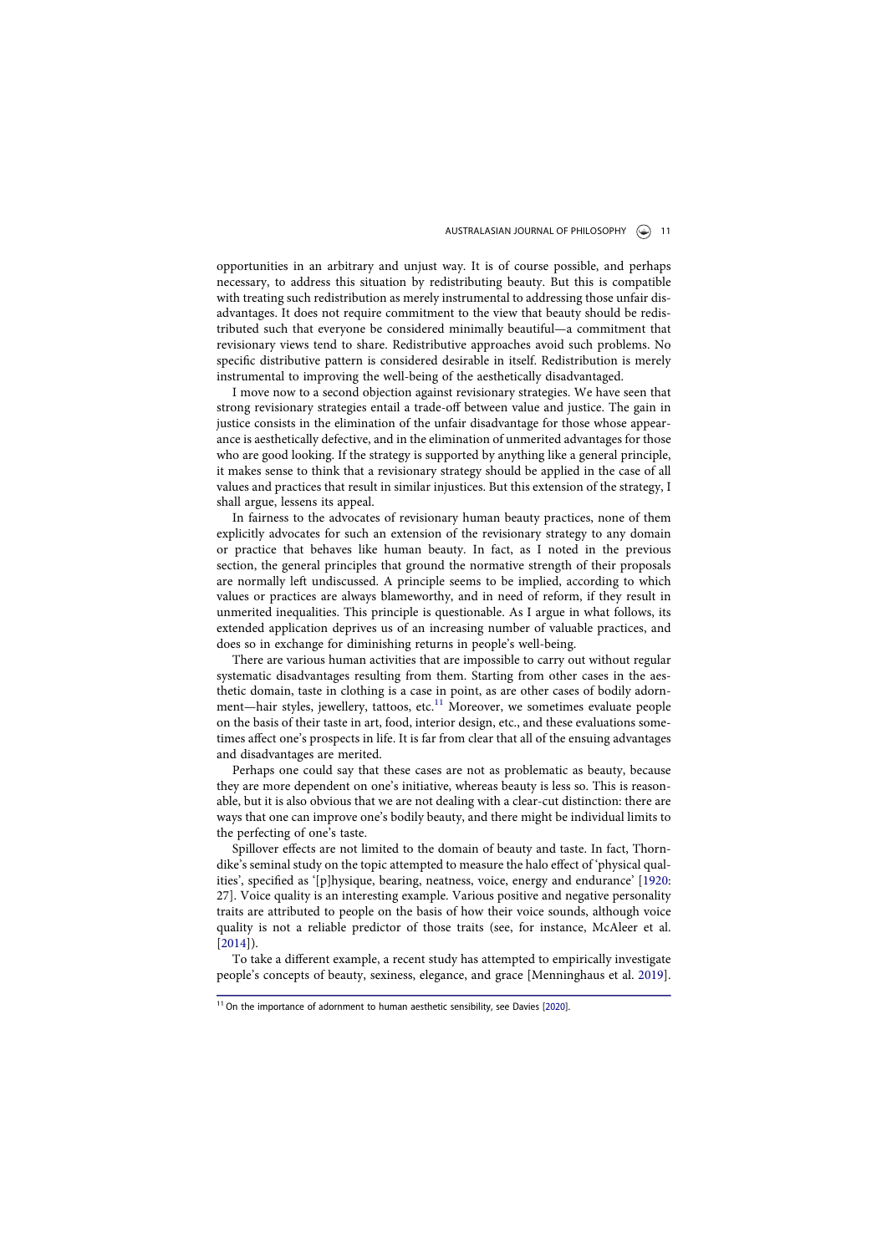opportunities in an arbitrary and unjust way. It is of course possible, and perhaps necessary, to address this situation by redistributing beauty. But this is compatible with treating such redistribution as merely instrumental to addressing those unfair disadvantages. It does not require commitment to the view that beauty should be redistributed such that everyone be considered minimally beautiful—a commitment that revisionary views tend to share. Redistributive approaches avoid such problems. No specific distributive pattern is considered desirable in itself. Redistribution is merely instrumental to improving the well-being of the aesthetically disadvantaged.

I move now to a second objection against revisionary strategies. We have seen that strong revisionary strategies entail a trade-off between value and justice. The gain in justice consists in the elimination of the unfair disadvantage for those whose appearance is aesthetically defective, and in the elimination of unmerited advantages for those who are good looking. If the strategy is supported by anything like a general principle, it makes sense to think that a revisionary strategy should be applied in the case of all values and practices that result in similar injustices. But this extension of the strategy, I shall argue, lessens its appeal.

In fairness to the advocates of revisionary human beauty practices, none of them explicitly advocates for such an extension of the revisionary strategy to any domain or practice that behaves like human beauty. In fact, as I noted in the previous section, the general principles that ground the normative strength of their proposals are normally left undiscussed. A principle seems to be implied, according to which values or practices are always blameworthy, and in need of reform, if they result in unmerited inequalities. This principle is questionable. As I argue in what follows, its extended application deprives us of an increasing number of valuable practices, and does so in exchange for diminishing returns in people's well-being.

There are various human activities that are impossible to carry out without regular systematic disadvantages resulting from them. Starting from other cases in the aesthetic domain, taste in clothing is a case in point, as are other cases of bodily adornment—hair styles, jewellery, tattoos, etc. $^{11}$  Moreover, we sometimes evaluate people on the basis of their taste in art, food, interior design, etc., and these evaluations sometimes affect one's prospects in life. It is far from clear that all of the ensuing advantages and disadvantages are merited.

Perhaps one could say that these cases are not as problematic as beauty, because they are more dependent on one's initiative, whereas beauty is less so. This is reasonable, but it is also obvious that we are not dealing with a clear-cut distinction: there are ways that one can improve one's bodily beauty, and there might be individual limits to the perfecting of one's taste.

Spillover effects are not limited to the domain of beauty and taste. In fact, Thorndike's seminal study on the topic attempted to measure the halo effect of 'physical qualities', specified as '[p]hysique, bearing, neatness, voice, energy and endurance' [1920: 27]. Voice quality is an interesting example. Various positive and negative personality traits are attributed to people on the basis of how their voice sounds, although voice quality is not a reliable predictor of those traits (see, for instance, McAleer et al. [2014]).

To take a different example, a recent study has attempted to empirically investigate people's concepts of beauty, sexiness, elegance, and grace [Menninghaus et al. 2019].

 $11$  On the importance of adornment to human aesthetic sensibility, see Davies [2020].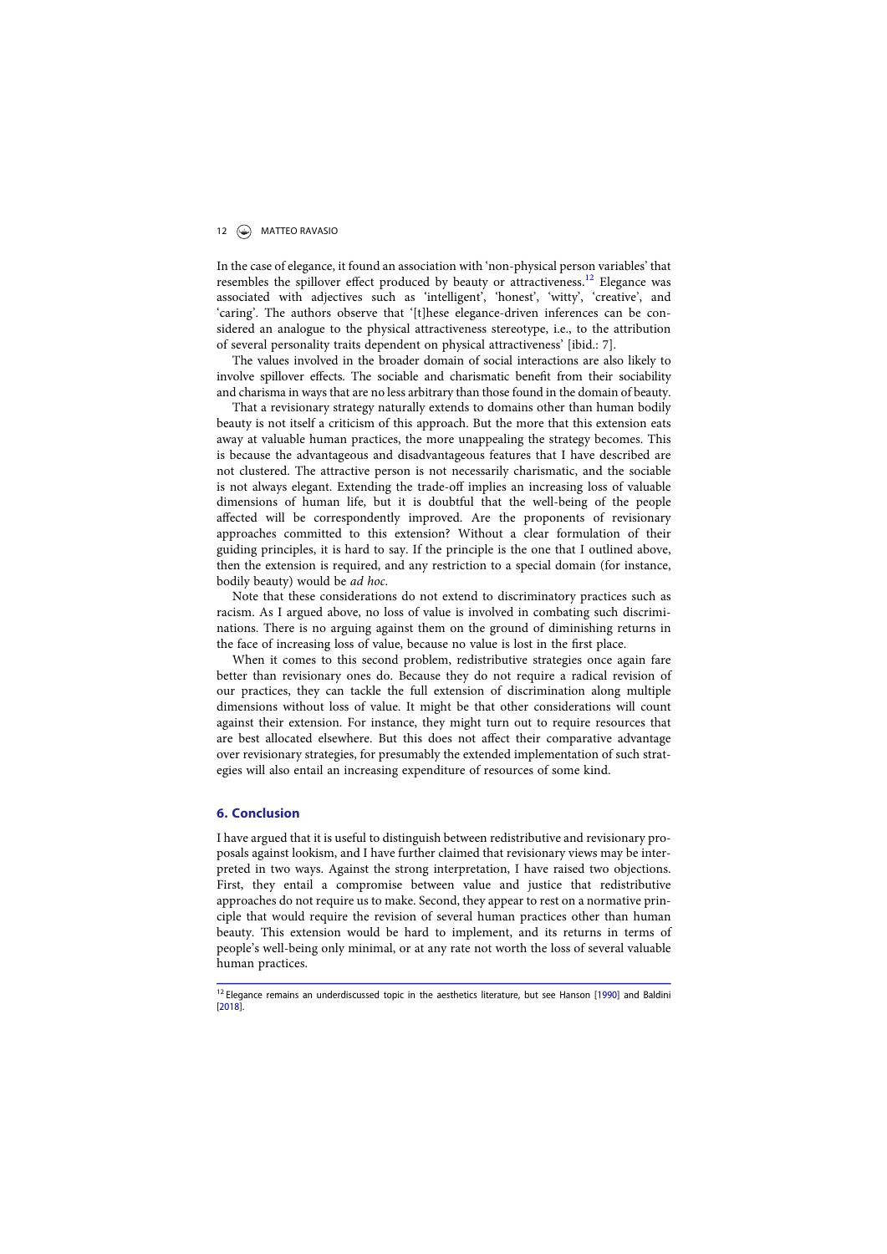# 12 **MATTEO RAVASIO**

In the case of elegance, it found an association with 'non-physical person variables' that resembles the spillover effect produced by beauty or attractiveness.12 Elegance was associated with adjectives such as 'intelligent', 'honest', 'witty', 'creative', and 'caring'. The authors observe that '[t]hese elegance-driven inferences can be considered an analogue to the physical attractiveness stereotype, i.e., to the attribution of several personality traits dependent on physical attractiveness' [ibid.: 7].

The values involved in the broader domain of social interactions are also likely to involve spillover effects. The sociable and charismatic benefit from their sociability and charisma in ways that are no less arbitrary than those found in the domain of beauty.

That a revisionary strategy naturally extends to domains other than human bodily beauty is not itself a criticism of this approach. But the more that this extension eats away at valuable human practices, the more unappealing the strategy becomes. This is because the advantageous and disadvantageous features that I have described are not clustered. The attractive person is not necessarily charismatic, and the sociable is not always elegant. Extending the trade-off implies an increasing loss of valuable dimensions of human life, but it is doubtful that the well-being of the people affected will be correspondently improved. Are the proponents of revisionary approaches committed to this extension? Without a clear formulation of their guiding principles, it is hard to say. If the principle is the one that I outlined above, then the extension is required, and any restriction to a special domain (for instance, bodily beauty) would be ad hoc.

Note that these considerations do not extend to discriminatory practices such as racism. As I argued above, no loss of value is involved in combating such discriminations. There is no arguing against them on the ground of diminishing returns in the face of increasing loss of value, because no value is lost in the first place.

When it comes to this second problem, redistributive strategies once again fare better than revisionary ones do. Because they do not require a radical revision of our practices, they can tackle the full extension of discrimination along multiple dimensions without loss of value. It might be that other considerations will count against their extension. For instance, they might turn out to require resources that are best allocated elsewhere. But this does not affect their comparative advantage over revisionary strategies, for presumably the extended implementation of such strategies will also entail an increasing expenditure of resources of some kind.

#### 6. Conclusion

I have argued that it is useful to distinguish between redistributive and revisionary proposals against lookism, and I have further claimed that revisionary views may be interpreted in two ways. Against the strong interpretation, I have raised two objections. First, they entail a compromise between value and justice that redistributive approaches do not require us to make. Second, they appear to rest on a normative principle that would require the revision of several human practices other than human beauty. This extension would be hard to implement, and its returns in terms of people's well-being only minimal, or at any rate not worth the loss of several valuable human practices.

<sup>&</sup>lt;sup>12</sup> Elegance remains an underdiscussed topic in the aesthetics literature, but see Hanson [1990] and Baldini [2018].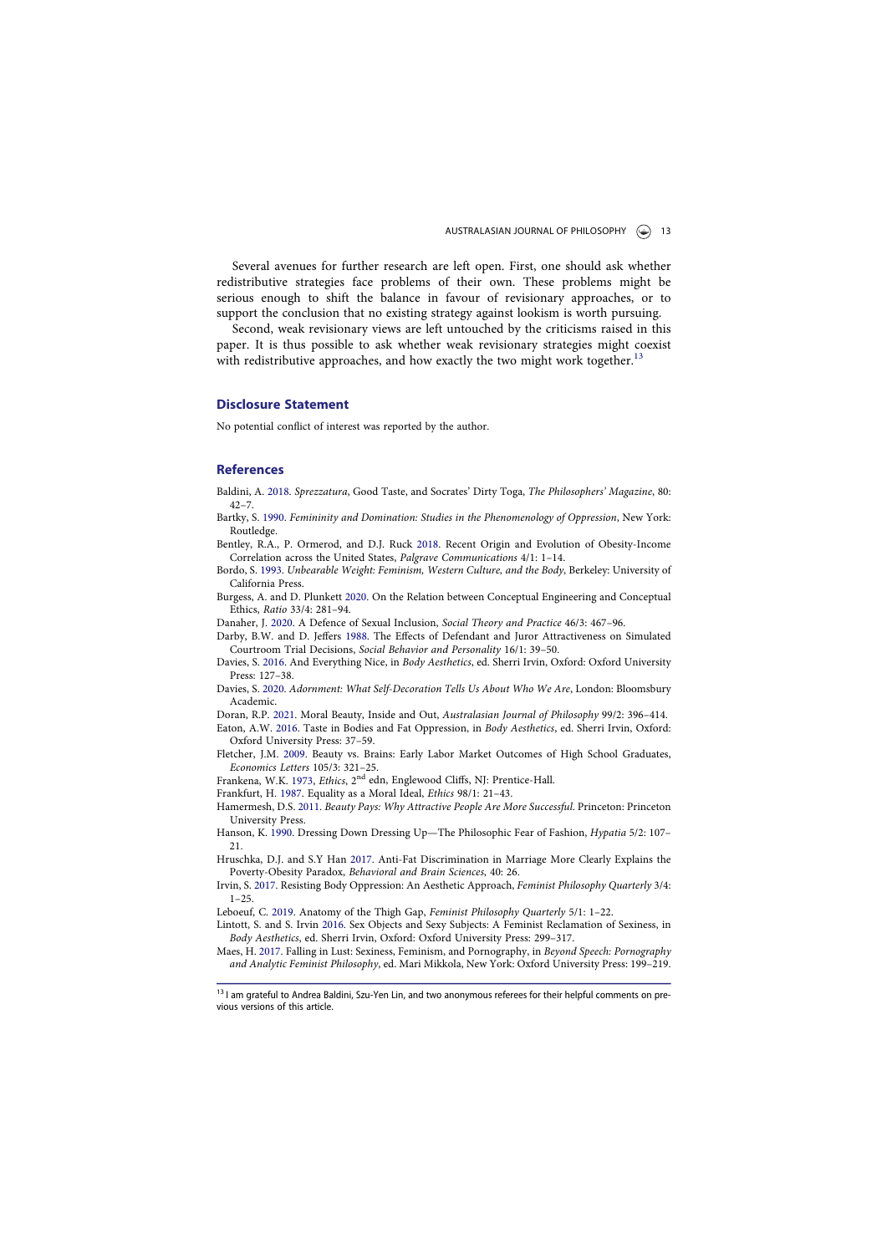Several avenues for further research are left open. First, one should ask whether redistributive strategies face problems of their own. These problems might be serious enough to shift the balance in favour of revisionary approaches, or to support the conclusion that no existing strategy against lookism is worth pursuing.

Second, weak revisionary views are left untouched by the criticisms raised in this paper. It is thus possible to ask whether weak revisionary strategies might coexist with redistributive approaches, and how exactly the two might work together.<sup>1</sup>

#### Disclosure Statement

No potential conflict of interest was reported by the author.

#### References

Baldini, A. 2018. Sprezzatura, Good Taste, and Socrates' Dirty Toga, The Philosophers' Magazine, 80:  $42 - 7$ 

Bartky, S. 1990. Femininity and Domination: Studies in the Phenomenology of Oppression, New York: Routledge.

Bentley, R.A., P. Ormerod, and D.J. Ruck 2018. Recent Origin and Evolution of Obesity-Income Correlation across the United States, Palgrave Communications 4/1: 1–14.

Bordo, S. 1993. Unbearable Weight: Feminism, Western Culture, and the Body, Berkeley: University of California Press.

Burgess, A. and D. Plunkett 2020. On the Relation between Conceptual Engineering and Conceptual Ethics, Ratio 33/4: 281–94.

Danaher, J. 2020. A Defence of Sexual Inclusion, Social Theory and Practice 46/3: 467–96.

Darby, B.W. and D. Jeffers 1988. The Effects of Defendant and Juror Attractiveness on Simulated Courtroom Trial Decisions, Social Behavior and Personality 16/1: 39–50.

Davies, S. 2016. And Everything Nice, in Body Aesthetics, ed. Sherri Irvin, Oxford: Oxford University Press: 127–38.

Davies, S. 2020. Adornment: What Self-Decoration Tells Us About Who We Are, London: Bloomsbury Academic.

Doran, R.P. 2021. Moral Beauty, Inside and Out, Australasian Journal of Philosophy 99/2: 396–414. Eaton, A.W. 2016. Taste in Bodies and Fat Oppression, in Body Aesthetics, ed. Sherri Irvin, Oxford: Oxford University Press: 37–59.

Fletcher, J.M. 2009. Beauty vs. Brains: Early Labor Market Outcomes of High School Graduates, Economics Letters 105/3: 321–25.

Frankena, W.K. 1973, Ethics, 2<sup>nd</sup> edn, Englewood Cliffs, NJ: Prentice-Hall.

Frankfurt, H. 1987. Equality as a Moral Ideal, Ethics 98/1: 21–43. Hamermesh, D.S. 2011. Beauty Pays: Why Attractive People Are More Successful. Princeton: Princeton

University Press. Hanson, K. 1990. Dressing Down Dressing Up—The Philosophic Fear of Fashion, Hypatia 5/2: 107–

21.

Hruschka, D.J. and S.Y Han 2017. Anti-Fat Discrimination in Marriage More Clearly Explains the Poverty-Obesity Paradox, Behavioral and Brain Sciences, 40: 26. Irvin, S. 2017. Resisting Body Oppression: An Aesthetic Approach, Feminist Philosophy Quarterly 3/4:

1–25.

Leboeuf, C. 2019. Anatomy of the Thigh Gap, Feminist Philosophy Quarterly 5/1: 1–22.

Lintott, S. and S. Irvin 2016. Sex Objects and Sexy Subjects: A Feminist Reclamation of Sexiness, in Body Aesthetics, ed. Sherri Irvin, Oxford: Oxford University Press: 299–317.

Maes, H. 2017. Falling in Lust: Sexiness, Feminism, and Pornography, in Beyond Speech: Pornography and Analytic Feminist Philosophy, ed. Mari Mikkola, New York: Oxford University Press: 199–219.

<sup>&</sup>lt;sup>13</sup> I am grateful to Andrea Baldini, Szu-Yen Lin, and two anonymous referees for their helpful comments on previous versions of this article.